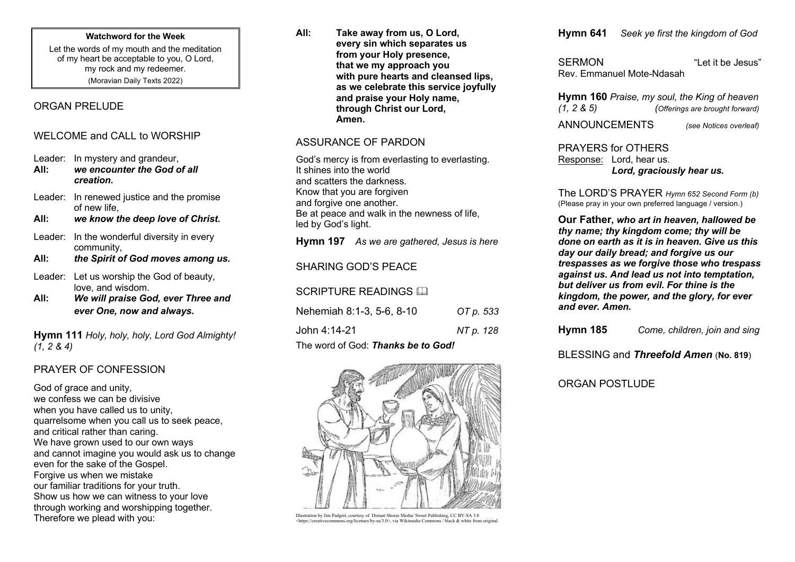#### **Watchword for the Week**

Let the words of my mouth and the meditation of my heart be acceptable to you, O Lord, my rock and my redeemer. (Moravian Daily Texts 2022)

# ORGAN PRELUDE

# WELCOME and CALL to WORSHIP

Leader: In mystery and grandeur,<br>All: we encounter the God of

- **All:** *we encounter the God of all creation.*
- Leader: In renewed justice and the promise of new life,
- **All:** *we know the deep love of Christ.*
- Leader: In the wonderful diversity in every community,
- **All:** *the Spirit of God moves among us.*
- Leader: Let us worship the God of beauty, love, and wisdom.
- **All:** *We will praise God, ever Three and ever One, now and always.*

**Hymn 111** *Holy, holy, holy, Lord God Almighty! (1, 2 & 4)*

# PRAYER OF CONFESSION

God of grace and unity, we confess we can be divisive when you have called us to unity. quarrelsome when you call us to seek peace, and critical rather than caring. We have grown used to our own ways and cannot imagine you would ask us to change even for the sake of the Gospel. Forgive us when we mistake our familiar traditions for your truth. Show us how we can witness to your love through working and worshipping together. Therefore we plead with you:

**All: Take away from us, O Lord, every sin which separates us from your Holy presence, that we my approach you with pure hearts and cleansed lips, as we celebrate this service joyfully and praise your Holy name, through Christ our Lord, Amen.**

## ASSURANCE OF PARDON

God's mercy is from everlasting to everlasting. It shines into the world and scatters the darkness. Know that you are forgiven and forgive one another. Be at peace and walk in the newness of life, led by God's light.

**Hymn 197** *As we are gathered, Jesus is here*

# SHARING GOD'S PEACE

### SCRIPTURE READINGS A

| Nehemiah 8:1-3, 5-6, 8-10          | OT p. 533 |  |
|------------------------------------|-----------|--|
| John 4:14-21                       | NT p. 128 |  |
| The word of God: Thanks be to God! |           |  |



Illustration by Jim Padgett, courtesy of Distant Shores Media/ Sweet Publishing, CC BY-SA 3.0 <https://creativecommons.org/licenses/by-sa/3.0>, via Wikimedia Commons / black & white from original **Hymn 641** *Seek ye first the kingdom of God*

SERMON "Let it be Jesus" Rev. Emmanuel Mote-Ndasah

**Hymn 160** *Praise, my soul, the King of heaven (Offerings are brought forward)* 

ANNOUNCEMENTS *(see Notices overleaf)*

PRAYERS for OTHERS Response: Lord, hear us. *Lord, graciously hear us.*

The LORD'S PRAYER *Hymn 652 Second Form (b)* (Please pray in your own preferred language / version.)

**Our Father,** *who art in heaven, hallowed be thy name; thy kingdom come; thy will be done on earth as it is in heaven. Give us this day our daily bread; and forgive us our trespasses as we forgive those who trespass against us. And lead us not into temptation, but deliver us from evil. For thine is the kingdom, the power, and the glory, for ever and ever. Amen.*

**Hymn 185** *Come, children, join and sing*

BLESSING and *Threefold Amen* (**No. 819**)

ORGAN POSTLUDE